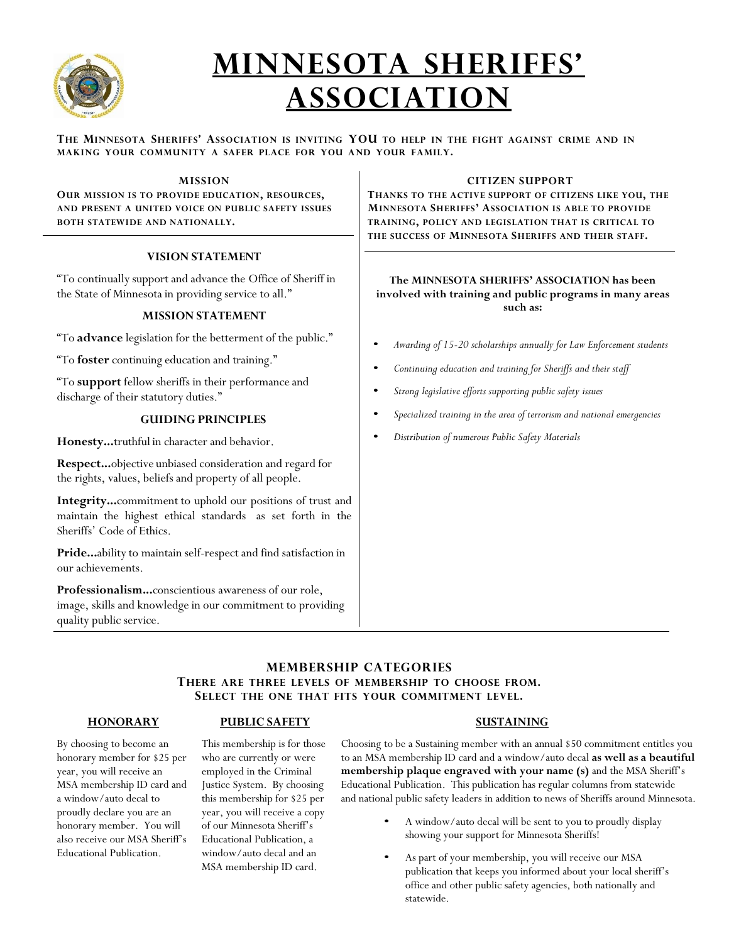

# **MINNESOTA SHERIFFS' ASSOCIATION**

THE MINNESOTA SHERIFFS' ASSOCIATION IS INVITING YOU TO HELP IN THE FIGHT AGAINST CRIME AND IN **MAKING YOUR COMMUNITY A SAFER PLACE FOR YOU AND YOUR FAMILY.**

#### **MISSION OUR MISSION IS TO PROVIDE EDUCATION, RESOURCES, AND PRESENT A UNITED VOICE ON PUBLIC SAFETY ISSUES BOTH STATEWIDE AND NATIONALLY. VISION STATEMENT** "To continually support and advance the Office of Sheriff in the State of Minnesota in providing service to all." **MISSION STATEMENT** "To **advance** legislation for the betterment of the public." "To **foster** continuing education and training." "To **support** fellow sheriffs in their performance and discharge of their statutory duties." **GUIDING PRINCIPLES Honesty...**truthful in character and behavior. **Respect...**objective unbiased consideration and regard for the rights, values, beliefs and property of all people. **Integrity...**commitment to uphold our positions of trust and maintain the highest ethical standards as set forth in the Sheriffs' Code of Ethics. **Pride...**ability to maintain self-respect and find satisfaction in our achievements. **Professionalism...**conscientious awareness of our role, image, skills and knowledge in our commitment to providing quality public service. **CITIZEN SUPPORT THANKS TO THE ACTIVE SUPPORT OF CITIZENS LIKE YOU, THE MINNESOTA SHERIFFS' ASSOCIATION IS ABLE TO PROVIDE TRAINING, POLICY AND LEGISLATION THAT IS CRITICAL TO THE SUCCESS OF MINNESOTA SHERIFFS AND THEIR STAFF. The MINNESOTA SHERIFFS' ASSOCIATION has been involved with training and public programs in many areas such as:** • *Awarding of 15-20 scholarships annually for Law Enforcement students* • *Continuing education and training for Sheriffs and their staff* • *Strong legislative efforts supporting public safety issues* • *Specialized training in the area of terrorism and national emergencies* • *Distribution of numerous Public Safety Materials*

### **MEMBERSHIP CATEGORIES**

#### **THERE ARE THREE LEVELS OF MEMBERSHIP TO CHOOSE FROM. SELECT THE ONE THAT FITS YOUR COMMITMENT LEVEL.**

#### **HONORARY**

#### **PUBLIC SAFETY**

By choosing to become an honorary member for \$25 per year, you will receive an MSA membership ID card and a window/auto decal to proudly declare you are an honorary member. You will also receive our MSA Sheriff's Educational Publication.

#### This membership is for those who are currently or were employed in the Criminal Justice System. By choosing this membership for \$25 per year, you will receive a copy of our Minnesota Sheriff's Educational Publication, a window/auto decal and an MSA membership ID card.

#### **SUSTAINING**

Choosing to be a Sustaining member with an annual \$50 commitment entitles you to an MSA membership ID card and a window/auto decal **as well as a beautiful membership plaque engraved with your name (s)** and the MSA Sheriff's Educational Publication. This publication has regular columns from statewide and national public safety leaders in addition to news of Sheriffs around Minnesota.

- A window/auto decal will be sent to you to proudly display showing your support for Minnesota Sheriffs!
- As part of your membership, you will receive our MSA publication that keeps you informed about your local sheriff's office and other public safety agencies, both nationally and statewide.